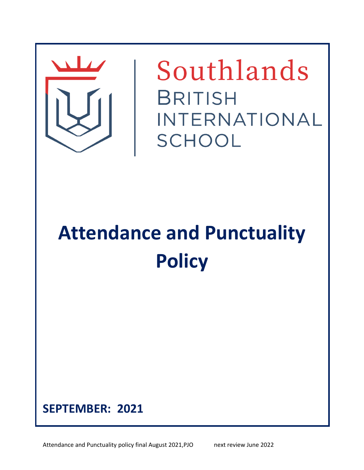

Southlands **BRITISH** INTERNATIONAL SCHOOL

**Attendance and Punctuality Policy**



Attendance and Punctuality policy final August 2021,PJO next review June 2022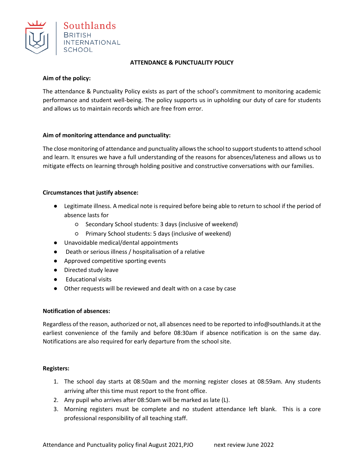

#### **ATTENDANCE & PUNCTUALITY POLICY**

#### **Aim of the policy:**

The attendance & Punctuality Policy exists as part of the school's commitment to monitoring academic performance and student well-being. The policy supports us in upholding our duty of care for students and allows us to maintain records which are free from error.

# **Aim of monitoring attendance and punctuality:**

The close monitoring of attendance and punctuality allows the school to support students to attend school and learn. It ensures we have a full understanding of the reasons for absences/lateness and allows us to mitigate effects on learning through holding positive and constructive conversations with our families.

# **Circumstances that justify absence:**

- Legitimate illness. A medical note is required before being able to return to school if the period of absence lasts for
	- Secondary School students: 3 days (inclusive of weekend)
	- Primary School students: 5 days (inclusive of weekend)
- Unavoidable medical/dental appointments
- Death or serious illness / hospitalisation of a relative
- Approved competitive sporting events
- Directed study leave
- Educational visits
- Other requests will be reviewed and dealt with on a case by case

#### **Notification of absences:**

Regardless of the reason, authorized or not, all absences need to be reported to info@southlands.it at the earliest convenience of the family and before 08:30am if absence notification is on the same day. Notifications are also required for early departure from the school site.

# **Registers:**

- 1. The school day starts at 08:50am and the morning register closes at 08:59am. Any students arriving after this time must report to the front office.
- 2. Any pupil who arrives after 08:50am will be marked as late (L).
- 3. Morning registers must be complete and no student attendance left blank. This is a core professional responsibility of all teaching staff.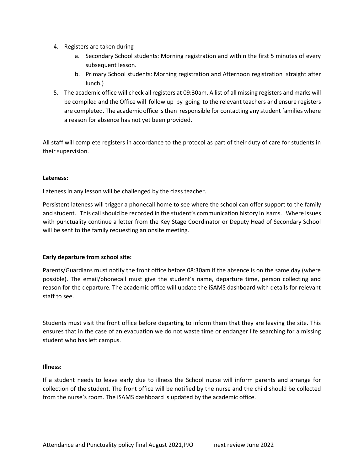- 4. Registers are taken during
	- a. Secondary School students: Morning registration and within the first 5 minutes of every subsequent lesson.
	- b. Primary School students: Morning registration and Afternoon registration straight after lunch.)
- 5. The academic office will check all registers at 09:30am. A list of all missing registers and marks will be compiled and the Office will follow up by going to the relevant teachers and ensure registers are completed. The academic office is then responsible for contacting any student families where a reason for absence has not yet been provided.

All staff will complete registers in accordance to the protocol as part of their duty of care for students in their supervision.

# **Lateness:**

Lateness in any lesson will be challenged by the class teacher.

Persistent lateness will trigger a phonecall home to see where the school can offer support to the family and student. This call should be recorded in the student's communication history in isams. Where issues with punctuality continue a letter from the Key Stage Coordinator or Deputy Head of Secondary School will be sent to the family requesting an onsite meeting.

# **Early departure from school site:**

Parents/Guardians must notify the front office before 08:30am if the absence is on the same day (where possible). The email/phonecall must give the student's name, departure time, person collecting and reason for the departure. The academic office will update the iSAMS dashboard with details for relevant staff to see.

Students must visit the front office before departing to inform them that they are leaving the site. This ensures that in the case of an evacuation we do not waste time or endanger life searching for a missing student who has left campus.

# **Illness:**

If a student needs to leave early due to illness the School nurse will inform parents and arrange for collection of the student. The front office will be notified by the nurse and the child should be collected from the nurse's room. The iSAMS dashboard is updated by the academic office.